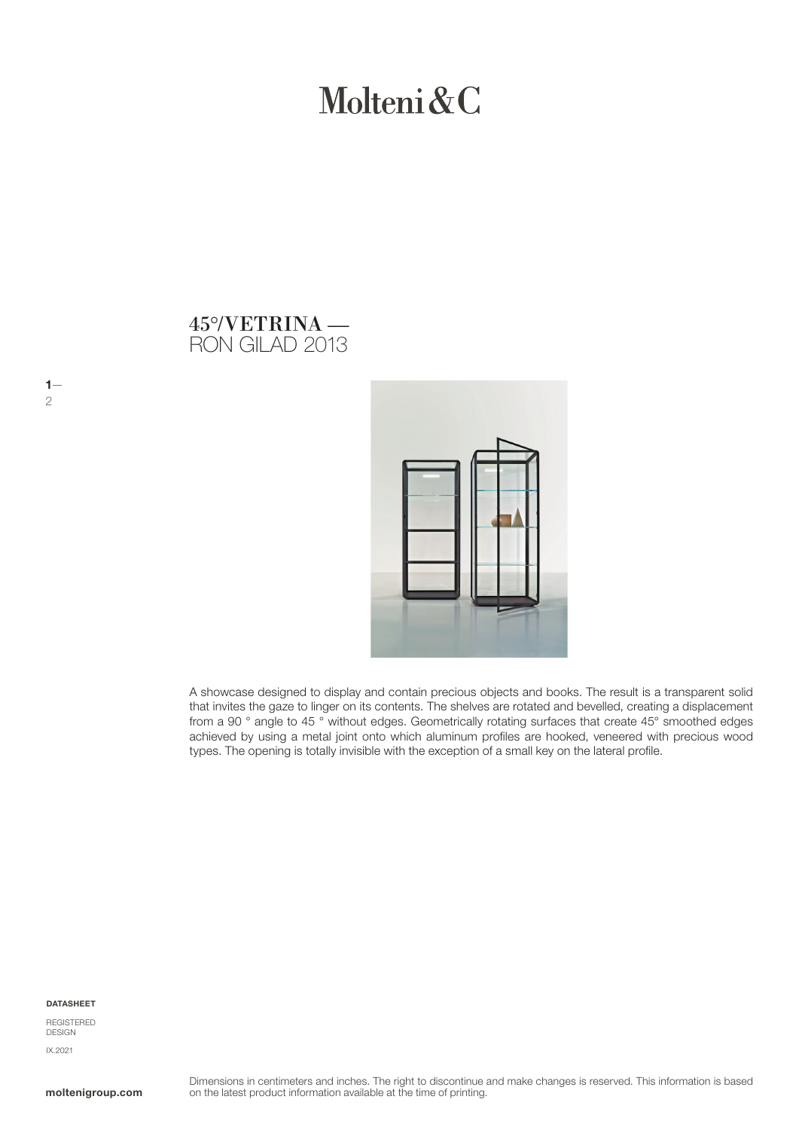# Molteni & C

# RON GILAD 2013 45°/VETRINA —



A showcase designed to display and contain precious objects and books. The result is a transparent solid that invites the gaze to linger on its contents. The shelves are rotated and bevelled, creating a displacement from a 90 ° angle to 45 ° without edges. Geometrically rotating surfaces that create 45° smoothed edges achieved by using a metal joint onto which aluminum profiles are hooked, veneered with precious wood types. The opening is totally invisible with the exception of a small key on the lateral profile.

#### DATASHEET

 $1-$ 

2

REGISTERED **DESIGN** IX.2021